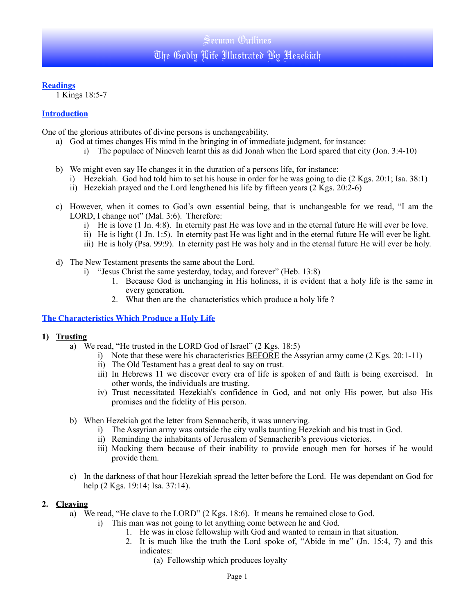### **Readings**

1 Kings 18:5-7

## **Introduction**

One of the glorious attributes of divine persons is unchangeability.

- a) God at times changes His mind in the bringing in of immediate judgment, for instance:
	- i) The populace of Nineveh learnt this as did Jonah when the Lord spared that city (Jon. 3:4-10)
- b) We might even say He changes it in the duration of a persons life, for instance:
	- i) Hezekiah. God had told him to set his house in order for he was going to die (2 Kgs. 20:1; Isa. 38:1)
	- ii) Hezekiah prayed and the Lord lengthened his life by fifteen years  $(2 \text{ Kgs. } 20:2-6)$
- c) However, when it comes to God's own essential being, that is unchangeable for we read, "I am the LORD, I change not" (Mal. 3:6). Therefore:
	- i) He is love (1 Jn. 4:8). In eternity past He was love and in the eternal future He will ever be love.
	- ii) He is light (1 Jn. 1:5). In eternity past He was light and in the eternal future He will ever be light.
	- iii) He is holy (Psa. 99:9). In eternity past He was holy and in the eternal future He will ever be holy.
- d) The New Testament presents the same about the Lord.
	- i) "Jesus Christ the same yesterday, today, and forever" (Heb. 13:8)
		- 1. Because God is unchanging in His holiness, it is evident that a holy life is the same in every generation.
		- 2. What then are the characteristics which produce a holy life ?

### **The Characteristics Which Produce a Holy Life**

### **1) Trusting**

- a) We read, "He trusted in the LORD God of Israel" (2 Kgs. 18:5)
	- i) Note that these were his characteristics BEFORE the Assyrian army came (2 Kgs. 20:1-11)
		- ii) The Old Testament has a great deal to say on trust.
		- iii) In Hebrews 11 we discover every era of life is spoken of and faith is being exercised. In other words, the individuals are trusting.
		- iv) Trust necessitated Hezekiah's confidence in God, and not only His power, but also His promises and the fidelity of His person.
- b) When Hezekiah got the letter from Sennacherib, it was unnerving.
	- i) The Assyrian army was outside the city walls taunting Hezekiah and his trust in God.
	- ii) Reminding the inhabitants of Jerusalem of Sennacherib's previous victories.
	- iii) Mocking them because of their inability to provide enough men for horses if he would provide them.
- c) In the darkness of that hour Hezekiah spread the letter before the Lord. He was dependant on God for help (2 Kgs. 19:14; Isa. 37:14).

### **2. Cleaving**

- a) We read, "He clave to the LORD" (2 Kgs. 18:6). It means he remained close to God.
	- i) This man was not going to let anything come between he and God.
		- 1. He was in close fellowship with God and wanted to remain in that situation.
			- 2. It is much like the truth the Lord spoke of, "Abide in me" (Jn. 15:4, 7) and this indicates:
				- (a) Fellowship which produces loyalty